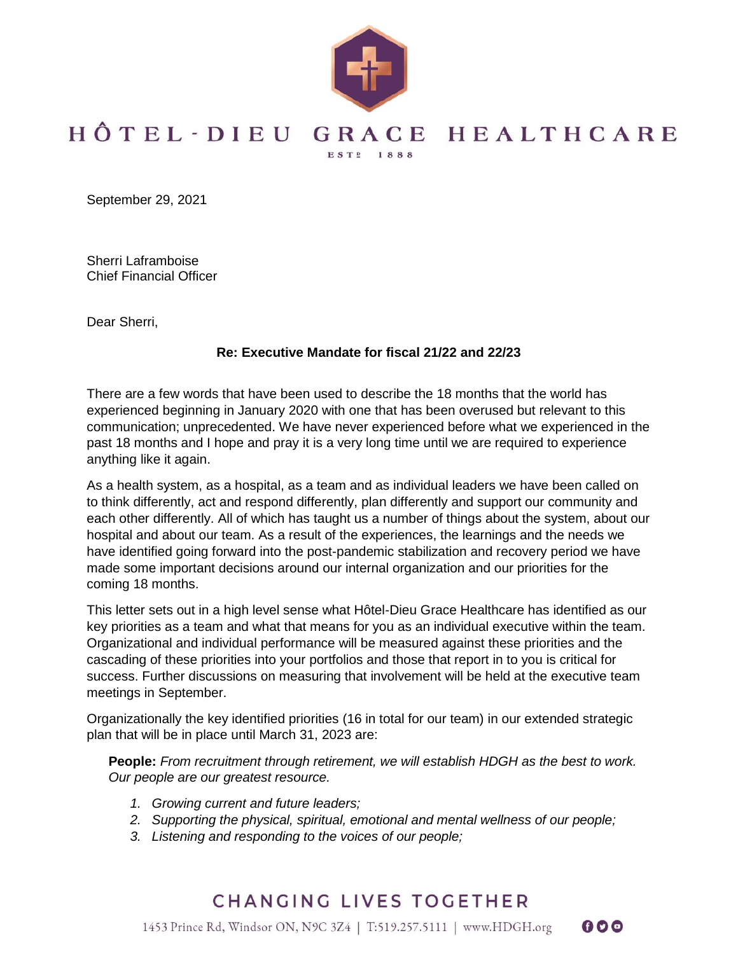

## HÔTEL-DIEU GRACE HEALTHCARE EST2 1888

September 29, 2021

Sherri Laframboise Chief Financial Officer

Dear Sherri,

## **Re: Executive Mandate for fiscal 21/22 and 22/23**

There are a few words that have been used to describe the 18 months that the world has experienced beginning in January 2020 with one that has been overused but relevant to this communication; unprecedented. We have never experienced before what we experienced in the past 18 months and I hope and pray it is a very long time until we are required to experience anything like it again.

As a health system, as a hospital, as a team and as individual leaders we have been called on to think differently, act and respond differently, plan differently and support our community and each other differently. All of which has taught us a number of things about the system, about our hospital and about our team. As a result of the experiences, the learnings and the needs we have identified going forward into the post-pandemic stabilization and recovery period we have made some important decisions around our internal organization and our priorities for the coming 18 months.

This letter sets out in a high level sense what Hôtel-Dieu Grace Healthcare has identified as our key priorities as a team and what that means for you as an individual executive within the team. Organizational and individual performance will be measured against these priorities and the cascading of these priorities into your portfolios and those that report in to you is critical for success. Further discussions on measuring that involvement will be held at the executive team meetings in September.

Organizationally the key identified priorities (16 in total for our team) in our extended strategic plan that will be in place until March 31, 2023 are:

**People:** *From recruitment through retirement, we will establish HDGH as the best to work. Our people are our greatest resource.*

- *1. Growing current and future leaders;*
- *2. Supporting the physical, spiritual, emotional and mental wellness of our people;*
- *3. Listening and responding to the voices of our people;*

## **CHANGING LIVES TOGETHER**

000

1453 Prince Rd, Windsor ON, N9C 3Z4 | T:519.257.5111 | www.HDGH.org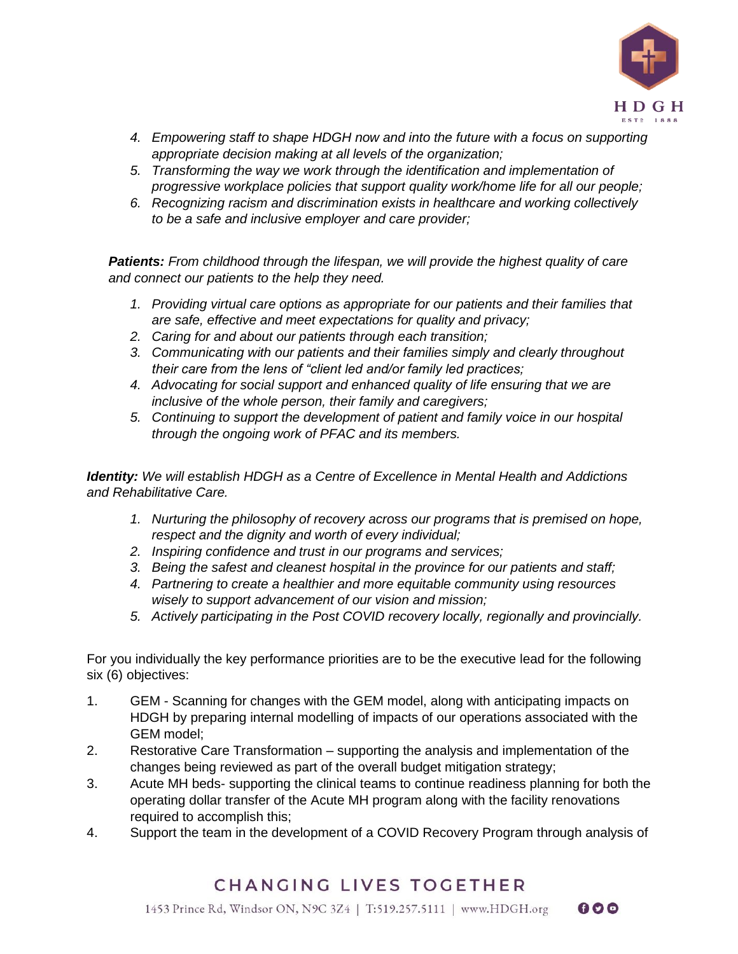

- *4. Empowering staff to shape HDGH now and into the future with a focus on supporting appropriate decision making at all levels of the organization;*
- *5. Transforming the way we work through the identification and implementation of progressive workplace policies that support quality work/home life for all our people;*
- *6. Recognizing racism and discrimination exists in healthcare and working collectively to be a safe and inclusive employer and care provider;*

*Patients: From childhood through the lifespan, we will provide the highest quality of care and connect our patients to the help they need.* 

- *1. Providing virtual care options as appropriate for our patients and their families that are safe, effective and meet expectations for quality and privacy;*
- *2. Caring for and about our patients through each transition;*
- *3. Communicating with our patients and their families simply and clearly throughout their care from the lens of "client led and/or family led practices;*
- *4. Advocating for social support and enhanced quality of life ensuring that we are inclusive of the whole person, their family and caregivers;*
- *5. Continuing to support the development of patient and family voice in our hospital through the ongoing work of PFAC and its members.*

*Identity: We will establish HDGH as a Centre of Excellence in Mental Health and Addictions and Rehabilitative Care.* 

- *1. Nurturing the philosophy of recovery across our programs that is premised on hope, respect and the dignity and worth of every individual;*
- *2. Inspiring confidence and trust in our programs and services;*
- *3. Being the safest and cleanest hospital in the province for our patients and staff;*
- *4. Partnering to create a healthier and more equitable community using resources wisely to support advancement of our vision and mission;*
- *5. Actively participating in the Post COVID recovery locally, regionally and provincially.*

For you individually the key performance priorities are to be the executive lead for the following six (6) objectives:

- 1. GEM Scanning for changes with the GEM model, along with anticipating impacts on HDGH by preparing internal modelling of impacts of our operations associated with the GEM model;
- 2. Restorative Care Transformation supporting the analysis and implementation of the changes being reviewed as part of the overall budget mitigation strategy;
- 3. Acute MH beds- supporting the clinical teams to continue readiness planning for both the operating dollar transfer of the Acute MH program along with the facility renovations required to accomplish this;
- 4. Support the team in the development of a COVID Recovery Program through analysis of

## CHANGING LIVES TOGETHER